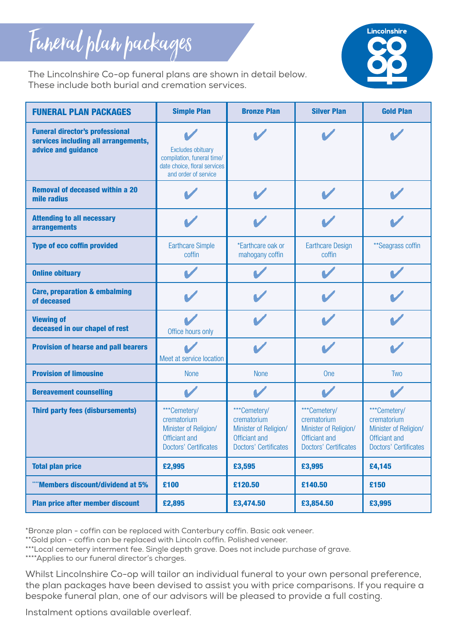## Funeral plan packages



The Lincolnshire Co-op funeral plans are shown in detail below. These include both burial and cremation services.

| <b>FUNERAL PLAN PACKAGES</b>                                                                          | <b>Simple Plan</b>                                                                                             | <b>Bronze Plan</b>                                                                                    | <b>Silver Plan</b>                                                                                    | <b>Gold Plan</b>                                                                                      |  |
|-------------------------------------------------------------------------------------------------------|----------------------------------------------------------------------------------------------------------------|-------------------------------------------------------------------------------------------------------|-------------------------------------------------------------------------------------------------------|-------------------------------------------------------------------------------------------------------|--|
| <b>Funeral director's professional</b><br>services including all arrangements,<br>advice and guidance | <b>Excludes obituary</b><br>compilation, funeral time/<br>date choice, floral services<br>and order of service |                                                                                                       |                                                                                                       |                                                                                                       |  |
| <b>Removal of deceased within a 20</b><br>mile radius                                                 |                                                                                                                |                                                                                                       |                                                                                                       |                                                                                                       |  |
| <b>Attending to all necessary</b><br><b>arrangements</b>                                              |                                                                                                                |                                                                                                       |                                                                                                       |                                                                                                       |  |
| <b>Type of eco coffin provided</b>                                                                    | <b>Earthcare Simple</b><br>coffin                                                                              | *Earthcare oak or<br>mahogany coffin                                                                  | <b>Earthcare Design</b><br>coffin                                                                     | ** Seagrass coffin                                                                                    |  |
| <b>Online obituary</b>                                                                                |                                                                                                                |                                                                                                       |                                                                                                       |                                                                                                       |  |
| <b>Care, preparation &amp; embalming</b><br>of deceased                                               |                                                                                                                |                                                                                                       |                                                                                                       |                                                                                                       |  |
| <b>Viewing of</b><br>deceased in our chapel of rest                                                   | Office hours only                                                                                              |                                                                                                       |                                                                                                       |                                                                                                       |  |
| <b>Provision of hearse and pall bearers</b>                                                           | Meet at service location                                                                                       |                                                                                                       |                                                                                                       |                                                                                                       |  |
| <b>Provision of limousine</b>                                                                         | <b>None</b>                                                                                                    | <b>None</b>                                                                                           | <b>One</b>                                                                                            | <b>Two</b>                                                                                            |  |
| <b>Bereavement counselling</b>                                                                        |                                                                                                                |                                                                                                       |                                                                                                       |                                                                                                       |  |
| <b>Third party fees (disbursements)</b>                                                               | ***Cemetery/<br>crematorium<br>Minister of Religion/<br>Officiant and<br>Doctors' Certificates                 | ***Cemetery/<br>crematorium<br>Minister of Religion/<br>Officiant and<br><b>Doctors' Certificates</b> | ***Cemetery/<br>crematorium<br>Minister of Religion/<br>Officiant and<br><b>Doctors' Certificates</b> | ***Cemetery/<br>crematorium<br>Minister of Religion/<br>Officiant and<br><b>Doctors' Certificates</b> |  |
| <b>Total plan price</b>                                                                               | £2,995                                                                                                         | £3,595                                                                                                | £3,995                                                                                                | £4,145                                                                                                |  |
| "Members discount/dividend at 5%                                                                      | £100                                                                                                           | £120.50                                                                                               | £140.50                                                                                               | £150                                                                                                  |  |
| Plan price after member discount                                                                      | £2,895                                                                                                         | £3,474.50                                                                                             | £3,854.50                                                                                             | £3,995                                                                                                |  |

\*Bronze plan - coffin can be replaced with Canterbury coffin. Basic oak veneer.

\*\*Gold plan - coffin can be replaced with Lincoln coffin. Polished veneer.

\*\*\*Local cemetery interment fee. Single depth grave. Does not include purchase of grave.

\*\*\*\*Applies to our funeral director's charges.

Whilst Lincolnshire Co-op will tailor an individual funeral to your own personal preference, the plan packages have been devised to assist you with price comparisons. If you require a bespoke funeral plan, one of our advisors will be pleased to provide a full costing.

Instalment options available overleaf.